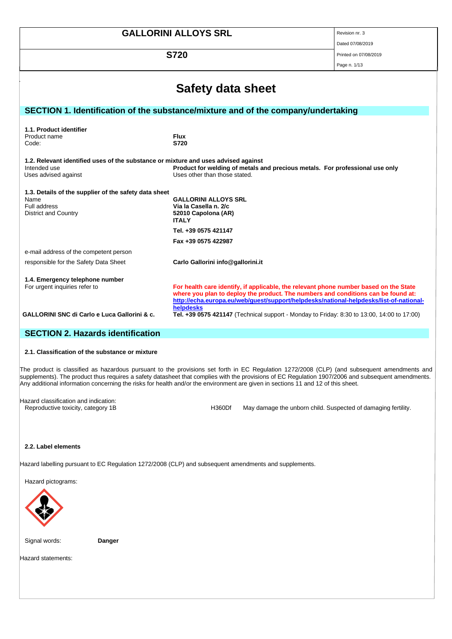| <b>GALLORINI ALLOYS SRL</b>                                                                                                                                                                                                                 | Revision nr. 3                                                                                                                                                                                                                                                       |              |  |  |
|---------------------------------------------------------------------------------------------------------------------------------------------------------------------------------------------------------------------------------------------|----------------------------------------------------------------------------------------------------------------------------------------------------------------------------------------------------------------------------------------------------------------------|--------------|--|--|
|                                                                                                                                                                                                                                             | Dated 07/08/2019                                                                                                                                                                                                                                                     |              |  |  |
| <b>S720</b>                                                                                                                                                                                                                                 | Printed on 07/08/2019                                                                                                                                                                                                                                                |              |  |  |
|                                                                                                                                                                                                                                             |                                                                                                                                                                                                                                                                      | Page n. 1/13 |  |  |
| Safety data sheet                                                                                                                                                                                                                           |                                                                                                                                                                                                                                                                      |              |  |  |
|                                                                                                                                                                                                                                             | SECTION 1. Identification of the substance/mixture and of the company/undertaking                                                                                                                                                                                    |              |  |  |
| 1.1. Product identifier<br>Product name<br><b>Flux</b><br>S720<br>Code:                                                                                                                                                                     |                                                                                                                                                                                                                                                                      |              |  |  |
| 1.2. Relevant identified uses of the substance or mixture and uses advised against<br>Intended use<br>Product for welding of metals and precious metals. For professional use only<br>Uses advised against<br>Uses other than those stated. |                                                                                                                                                                                                                                                                      |              |  |  |
| 1.3. Details of the supplier of the safety data sheet<br>Name<br><b>GALLORINI ALLOYS SRL</b><br>Full address<br>Via la Casella n. 2/c<br><b>District and Country</b><br>52010 Capolona (AR)<br><b>ITALY</b>                                 |                                                                                                                                                                                                                                                                      |              |  |  |
|                                                                                                                                                                                                                                             | Tel. +39 0575 421147                                                                                                                                                                                                                                                 |              |  |  |
|                                                                                                                                                                                                                                             | Fax +39 0575 422987                                                                                                                                                                                                                                                  |              |  |  |
| e-mail address of the competent person                                                                                                                                                                                                      |                                                                                                                                                                                                                                                                      |              |  |  |
| responsible for the Safety Data Sheet                                                                                                                                                                                                       | Carlo Gallorini info@gallorini.it                                                                                                                                                                                                                                    |              |  |  |
| 1.4. Emergency telephone number<br>For urgent inquiries refer to                                                                                                                                                                            | For health care identify, if applicable, the relevant phone number based on the State<br>where you plan to deploy the product. The numbers and conditions can be found at:<br>http://echa.europa.eu/web/guest/support/helpdesks/national-helpdesks/list-of-national- |              |  |  |
| <b>GALLORINI SNC di Carlo e Luca Gallorini &amp; c.</b>                                                                                                                                                                                     | helpdesks<br><b>Tel. +39 0575 421147</b> (Technical support - Monday to Friday: 8:30 to 13:00, 14:00 to 17:00)                                                                                                                                                       |              |  |  |

# **SECTION 2. Hazards identification**

# **2.1. Classification of the substance or mixture**

The product is classified as hazardous pursuant to the provisions set forth in EC Regulation 1272/2008 (CLP) (and subsequent amendments and supplements). The product thus requires a safety datasheet that complies with the provisions of EC Regulation 1907/2006 and subsequent amendments. Any additional information concerning the risks for health and/or the environment are given in sections 11 and 12 of this sheet.

Hazard classification and indication:

Reproductive toxicity, category 1B **H360Df** May damage the unborn child. Suspected of damaging fertility.

# **2.2. Label elements**

Hazard labelling pursuant to EC Regulation 1272/2008 (CLP) and subsequent amendments and supplements.

Hazard pictograms:



Signal words: **Danger**

Hazard statements: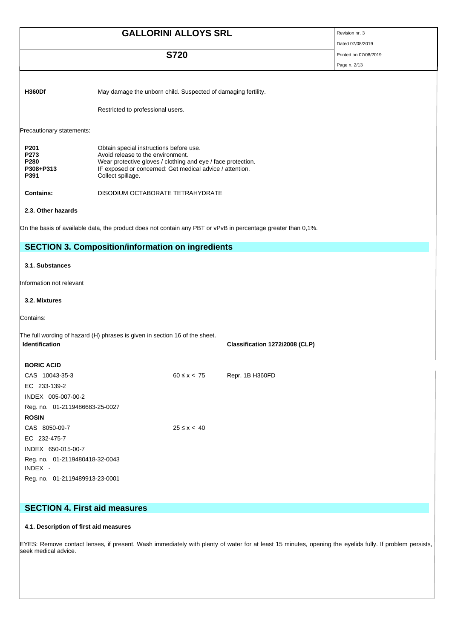|               | <b>GALLORINI ALLOYS SRL</b>                                                                        | Revision nr. 3<br>Dated 07/08/2019 |
|---------------|----------------------------------------------------------------------------------------------------|------------------------------------|
|               | <b>S720</b>                                                                                        | Printed on 07/08/2019              |
|               |                                                                                                    | Page n. 2/13                       |
| <b>H360Df</b> | May damage the unborn child. Suspected of damaging fertility.<br>Restricted to professional users. |                                    |

Precautionary statements:

| P <sub>201</sub> | Obtain special instructions before use.                      |
|------------------|--------------------------------------------------------------|
| P273             | Avoid release to the environment.                            |
| P <sub>280</sub> | Wear protective gloves / clothing and eye / face protection. |
| P308+P313        | IF exposed or concerned: Get medical advice / attention.     |
| P391             | Collect spillage.                                            |
|                  |                                                              |

**Contains:** DISODIUM OCTABORATE TETRAHYDRATE

**2.3. Other hazards**

On the basis of available data, the product does not contain any PBT or vPvB in percentage greater than 0,1%.

# **SECTION 3. Composition/information on ingredients**

## **3.1. Substances**

Information not relevant

## **3.2. Mixtures**

Contains:

The full wording of hazard (H) phrases is given in section 16 of the sheet. **Identification Classification 1272/2008 (CLP)**

| <b>BORIC ACID</b>              |                   |                 |
|--------------------------------|-------------------|-----------------|
| CAS 10043-35-3                 | $60 \le x \le 75$ | Repr. 1B H360FD |
| EC 233-139-2                   |                   |                 |
| INDEX 005-007-00-2             |                   |                 |
| Reg. no. 01-2119486683-25-0027 |                   |                 |
| <b>ROSIN</b>                   |                   |                 |
| CAS 8050-09-7                  | $25 \le x \le 40$ |                 |
| EC 232-475-7                   |                   |                 |
| INDEX 650-015-00-7             |                   |                 |
| Reg. no. 01-2119480418-32-0043 |                   |                 |
| INDEX -                        |                   |                 |
| Reg. no. 01-2119489913-23-0001 |                   |                 |

# **SECTION 4. First aid measures**

# **4.1. Description of first aid measures**

EYES: Remove contact lenses, if present. Wash immediately with plenty of water for at least 15 minutes, opening the eyelids fully. If problem persists, seek medical advice.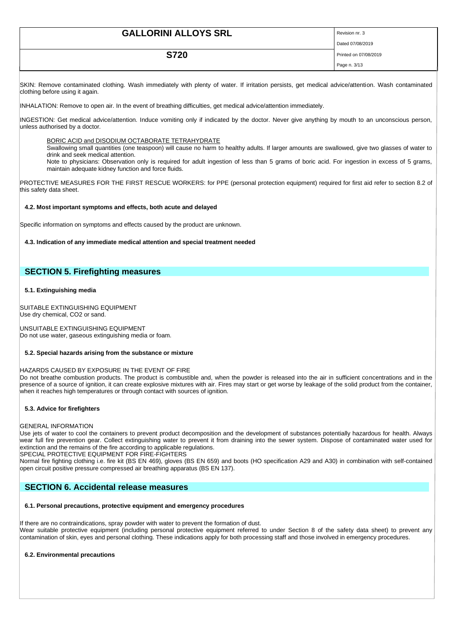| <b>GALLORINI ALLOYS SRL</b> | Revision nr. 3        |
|-----------------------------|-----------------------|
|                             | Dated 07/08/2019      |
| <b>S720</b>                 | Printed on 07/08/2019 |
|                             | Page n. 3/13          |

SKIN: Remove contaminated clothing. Wash immediately with plenty of water. If irritation persists, get medical advice/attention. Wash contaminated clothing before using it again.

INHALATION: Remove to open air. In the event of breathing difficulties, get medical advice/attention immediately.

INGESTION: Get medical advice/attention. Induce vomiting only if indicated by the doctor. Never give anything by mouth to an unconscious person, unless authorised by a doctor.

#### BORIC ACID and DISODIUM OCTABORATE TETRAHYDRATE

Swallowing small quantities (one teaspoon) will cause no harm to healthy adults. If larger amounts are swallowed, give two glasses of water to drink and seek medical attention.

Note to physicians: Observation only is required for adult ingestion of less than 5 grams of boric acid. For ingestion in excess of 5 grams, maintain adequate kidney function and force fluids.

PROTECTIVE MEASURES FOR THE FIRST RESCUE WORKERS: for PPE (personal protection equipment) required for first aid refer to section 8.2 of this safety data sheet.

## **4.2. Most important symptoms and effects, both acute and delayed**

Specific information on symptoms and effects caused by the product are unknown.

#### **4.3. Indication of any immediate medical attention and special treatment needed**

# **SECTION 5. Firefighting measures**

# **5.1. Extinguishing media**

SUITABLE EXTINGUISHING EQUIPMENT Use dry chemical, CO2 or sand.

UNSUITABLE EXTINGUISHING EQUIPMENT Do not use water, gaseous extinguishing media or foam.

## **5.2. Special hazards arising from the substance or mixture**

## HAZARDS CAUSED BY EXPOSURE IN THE EVENT OF FIRE

Do not breathe combustion products. The product is combustible and, when the powder is released into the air in sufficient concentrations and in the presence of a source of ignition, it can create explosive mixtures with air. Fires may start or get worse by leakage of the solid product from the container, when it reaches high temperatures or through contact with sources of ignition.

## **5.3. Advice for firefighters**

## GENERAL INFORMATION

Use jets of water to cool the containers to prevent product decomposition and the development of substances potentially hazardous for health. Always wear full fire prevention gear. Collect extinguishing water to prevent it from draining into the sewer system. Dispose of contaminated water used for extinction and the remains of the fire according to applicable regulations.

SPECIAL PROTECTIVE EQUIPMENT FOR FIRE-FIGHTERS

Normal fire fighting clothing i.e. fire kit (BS EN 469), gloves (BS EN 659) and boots (HO specification A29 and A30) in combination with self-contained open circuit positive pressure compressed air breathing apparatus (BS EN 137).

# **SECTION 6. Accidental release measures**

# **6.1. Personal precautions, protective equipment and emergency procedures**

If there are no contraindications, spray powder with water to prevent the formation of dust. Wear suitable protective equipment (including personal protective equipment referred to under Section 8 of the safety data sheet) to prevent any contamination of skin, eyes and personal clothing. These indications apply for both processing staff and those involved in emergency procedures.

## **6.2. Environmental precautions**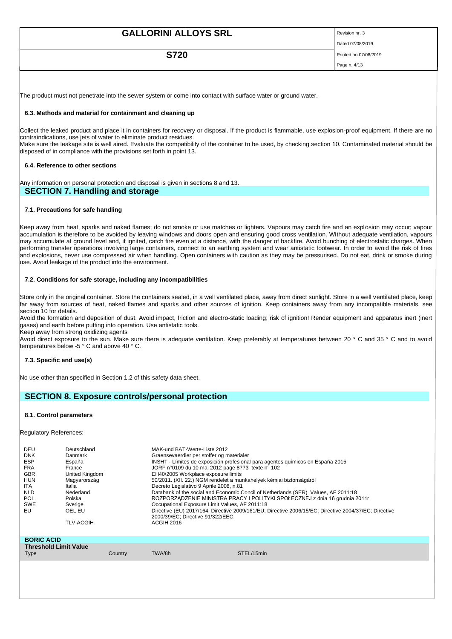| <b>GALLORINI ALLOYS SRL</b> | Revision nr. 3        |
|-----------------------------|-----------------------|
|                             | Dated 07/08/2019      |
| <b>S720</b>                 | Printed on 07/08/2019 |
|                             | Page n. 4/13          |
|                             |                       |

The product must not penetrate into the sewer system or come into contact with surface water or ground water.

## **6.3. Methods and material for containment and cleaning up**

Collect the leaked product and place it in containers for recovery or disposal. If the product is flammable, use explosion-proof equipment. If there are no contraindications, use jets of water to eliminate product residues.

Make sure the leakage site is well aired. Evaluate the compatibility of the container to be used, by checking section 10. Contaminated material should be disposed of in compliance with the provisions set forth in point 13.

#### **6.4. Reference to other sections**

Any information on personal protection and disposal is given in sections 8 and 13.

# **SECTION 7. Handling and storage**

#### **7.1. Precautions for safe handling**

Keep away from heat, sparks and naked flames; do not smoke or use matches or lighters. Vapours may catch fire and an explosion may occur; vapour accumulation is therefore to be avoided by leaving windows and doors open and ensuring good cross ventilation. Without adequate ventilation, vapours may accumulate at ground level and, if ignited, catch fire even at a distance, with the danger of backfire. Avoid bunching of electrostatic charges. When performing transfer operations involving large containers, connect to an earthing system and wear antistatic footwear. In order to avoid the risk of fires and explosions, never use compressed air when handling. Open containers with caution as they may be pressurised. Do not eat, drink or smoke during use. Avoid leakage of the product into the environment.

## **7.2. Conditions for safe storage, including any incompatibilities**

Store only in the original container. Store the containers sealed, in a well ventilated place, away from direct sunlight. Store in a well ventilated place, keep far away from sources of heat, naked flames and sparks and other sources of ignition. Keep containers away from any incompatible materials, see section 10 for details.

Avoid the formation and deposition of dust. Avoid impact, friction and electro-static loading; risk of ignition! Render equipment and apparatus inert (inert gases) and earth before putting into operation. Use antistatic tools.

Keep away from strong oxidizing agents

Avoid direct exposure to the sun. Make sure there is adequate ventilation. Keep preferably at temperatures between 20 ° C and 35 ° C and to avoid temperatures below -5 ° C and above 40 ° C.

# **7.3. Specific end use(s)**

No use other than specified in Section 1.2 of this safety data sheet.

# **SECTION 8. Exposure controls/personal protection**

#### **8.1. Control parameters**

Regulatory References:

| DEU<br><b>DNK</b><br><b>ESP</b><br><b>FRA</b><br><b>GBR</b><br><b>HUN</b><br>ITA.<br><b>NLD</b><br><b>POL</b><br>SWE<br>EU | Deutschland<br>Danmark<br>España<br>France<br>United Kingdom<br>Magyarország<br>Italia<br>Nederland<br>Polska<br>Sverige<br>OEL EU<br><b>TLV-ACGIH</b> |         | MAK-und BAT-Werte-Liste 2012<br>Graensevaerdier per stoffer og materialer<br>JORF n°0109 du 10 mai 2012 page 8773 texte n° 102<br>EH40/2005 Workplace exposure limits<br>50/2011. (XII. 22.) NGM rendelet a munkahelyek kémiai biztonságáról<br>Decreto Legislativo 9 Aprile 2008, n.81<br>Occupational Exposure Limit Values, AF 2011:18<br>2000/39/EC; Directive 91/322/EEC.<br><b>ACGIH 2016</b> | INSHT - Límites de exposición profesional para agentes químicos en España 2015<br>Databank of the social and Economic Concil of Netherlands (SER) Values, AF 2011:18<br>ROZPORZADZENIE MINISTRA PRACY I POLITYKI SPOŁECZNEJ z dnia 16 grudnia 2011r<br>Directive (EU) 2017/164: Directive 2009/161/EU: Directive 2006/15/EC: Directive 2004/37/EC: Directive |
|----------------------------------------------------------------------------------------------------------------------------|--------------------------------------------------------------------------------------------------------------------------------------------------------|---------|-----------------------------------------------------------------------------------------------------------------------------------------------------------------------------------------------------------------------------------------------------------------------------------------------------------------------------------------------------------------------------------------------------|--------------------------------------------------------------------------------------------------------------------------------------------------------------------------------------------------------------------------------------------------------------------------------------------------------------------------------------------------------------|
| <b>BORIC ACID</b>                                                                                                          |                                                                                                                                                        |         |                                                                                                                                                                                                                                                                                                                                                                                                     |                                                                                                                                                                                                                                                                                                                                                              |
| <b>Threshold Limit Value</b>                                                                                               |                                                                                                                                                        |         |                                                                                                                                                                                                                                                                                                                                                                                                     |                                                                                                                                                                                                                                                                                                                                                              |
| Type                                                                                                                       |                                                                                                                                                        | Country | TWA/8h                                                                                                                                                                                                                                                                                                                                                                                              | STEL/15min                                                                                                                                                                                                                                                                                                                                                   |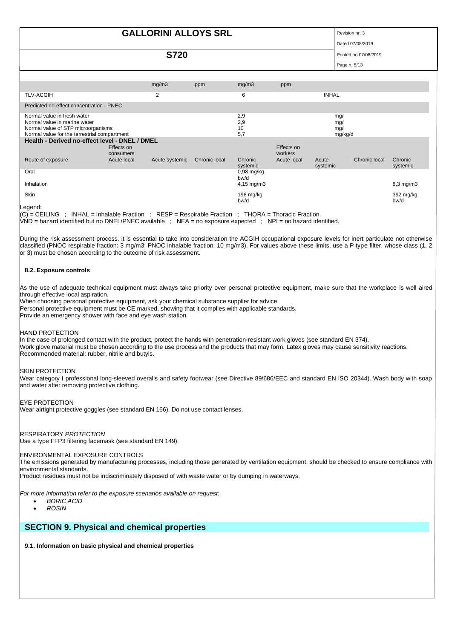# **GALLORINI ALLOYS SRL** Revision nr. 3

Dated 07/08/2019

**S720** Printed on 07/08/2019

 $P<sub>2</sub>na n. 5/13$ 

|                                                                                                                                                                                                                 |                         | mg/m3          | ppm           | mg/m3                   | ppm                   |                   |               |                     |
|-----------------------------------------------------------------------------------------------------------------------------------------------------------------------------------------------------------------|-------------------------|----------------|---------------|-------------------------|-----------------------|-------------------|---------------|---------------------|
| <b>TLV-ACGIH</b>                                                                                                                                                                                                |                         | $\overline{2}$ |               | 6                       |                       | <b>INHAL</b>      |               |                     |
| Predicted no-effect concentration - PNEC                                                                                                                                                                        |                         |                |               |                         |                       |                   |               |                     |
| Normal value in fresh water<br>2,9<br>mg/l<br>2,9<br>Normal value in marine water<br>mg/l<br>10<br>Normal value of STP microorganisms<br>mg/l<br>5,7<br>Normal value for the terrestrial compartment<br>mg/kg/d |                         |                |               |                         |                       |                   |               |                     |
| Health - Derived no-effect level - DNEL / DMEL                                                                                                                                                                  |                         |                |               |                         |                       |                   |               |                     |
|                                                                                                                                                                                                                 | Effects on<br>consumers |                |               |                         | Effects on<br>workers |                   |               |                     |
| Route of exposure                                                                                                                                                                                               | Acute local             | Acute systemic | Chronic local | Chronic<br>systemic     | Acute local           | Acute<br>systemic | Chronic local | Chronic<br>systemic |
| Oral                                                                                                                                                                                                            |                         |                |               | $0,98$ mg/kg<br>bw/d    |                       |                   |               |                     |
| Inhalation                                                                                                                                                                                                      |                         |                |               | $4,15 \, \text{mg/m}$ 3 |                       |                   |               | $8,3$ mg/m $3$      |
| Skin                                                                                                                                                                                                            |                         |                |               | 196 $mg/kg$<br>bw/d     |                       |                   |               | 392 mg/kg<br>bw/d   |

Legend:

(C) = CEILING ; INHAL = Inhalable Fraction ; RESP = Respirable Fraction ; THORA = Thoracic Fraction.

VND = hazard identified but no DNEL/PNEC available ; NEA = no exposure expected ; NPI = no hazard identified.

During the risk assessment process, it is essential to take into consideration the ACGIH occupational exposure levels for inert particulate not otherwise classified (PNOC respirable fraction: 3 mg/m3; PNOC inhalable fraction: 10 mg/m3). For values above these limits, use a P type filter, whose class (1, 2 or 3) must be chosen according to the outcome of risk assessment.

# **8.2. Exposure controls**

As the use of adequate technical equipment must always take priority over personal protective equipment, make sure that the workplace is well aired through effective local aspiration.

When choosing personal protective equipment, ask your chemical substance supplier for advice.

Personal protective equipment must be CE marked, showing that it complies with applicable standards.

Provide an emergency shower with face and eye wash station.

## HAND PROTECTION

In the case of prolonged contact with the product, protect the hands with penetration-resistant work gloves (see standard EN 374). Work glove material must be chosen according to the use process and the products that may form. Latex gloves may cause sensitivity reactions. Recommended material: rubber, nitrile and butyls.

## SKIN PROTECTION

Wear category I professional long-sleeved overalls and safety footwear (see Directive 89/686/EEC and standard EN ISO 20344). Wash body with soap and water after removing protective clothing.

## EYE PROTECTION

Wear airtight protective goggles (see standard EN 166). Do not use contact lenses.

## RESPIRATORY *PROTECTION*

Use a type FFP3 filtering facemask (see standard EN 149).

## ENVIRONMENTAL EXPOSURE CONTROLS

The emissions generated by manufacturing processes, including those generated by ventilation equipment, should be checked to ensure compliance with environmental standards.

Product residues must not be indiscriminately disposed of with waste water or by dumping in waterways.

*For more information refer to the exposure scenarios available on request:*

- *BORIC ACID*
- *ROSIN*

# **SECTION 9. Physical and chemical properties**

**9.1. Information on basic physical and chemical properties**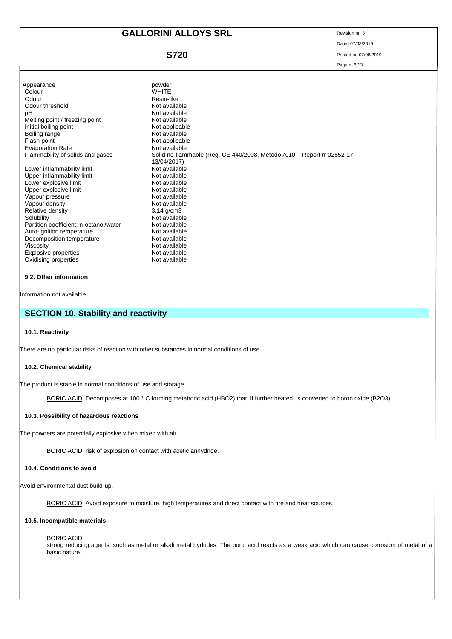# **GALLORINI ALLOYS SRL** Revision nr. 3

Dated 07/08/2019

# **S720** Printed on 07/08/2019

Page n. 6/13

| Appearance<br>Colour<br>Odour<br>Odour threshold<br>рH<br>Melting point / freezing point<br>Initial boiling point<br>Boiling range<br>Flash point<br><b>Evaporation Rate</b><br>Flammability of solids and gases<br>Lower inflammability limit<br>Upper inflammability limit<br>Lower explosive limit<br>Upper explosive limit<br>Vapour pressure<br>Vapour density<br>Relative density<br>Solubility | powder<br><b>WHITE</b><br>Resin-like<br>Not available<br>Not available<br>Not available<br>Not applicable<br>Not available<br>Not applicable<br>Not available<br>Solid no-flammable (Reg. CE 440/2008, Metodo A.10 - Report n°02552-17,<br>13/04/2017)<br>Not available<br>Not available<br>Not available<br>Not available<br>Not available<br>Not available<br>$3,14$ g/cm $3$<br>Not available |
|-------------------------------------------------------------------------------------------------------------------------------------------------------------------------------------------------------------------------------------------------------------------------------------------------------------------------------------------------------------------------------------------------------|--------------------------------------------------------------------------------------------------------------------------------------------------------------------------------------------------------------------------------------------------------------------------------------------------------------------------------------------------------------------------------------------------|
|                                                                                                                                                                                                                                                                                                                                                                                                       |                                                                                                                                                                                                                                                                                                                                                                                                  |
| Partition coefficient: n-octanol/water                                                                                                                                                                                                                                                                                                                                                                | Not available                                                                                                                                                                                                                                                                                                                                                                                    |
| Auto-ignition temperature                                                                                                                                                                                                                                                                                                                                                                             | Not available                                                                                                                                                                                                                                                                                                                                                                                    |
| Decomposition temperature                                                                                                                                                                                                                                                                                                                                                                             | Not available                                                                                                                                                                                                                                                                                                                                                                                    |
| Viscosity                                                                                                                                                                                                                                                                                                                                                                                             | Not available                                                                                                                                                                                                                                                                                                                                                                                    |
| Explosive properties                                                                                                                                                                                                                                                                                                                                                                                  | Not available                                                                                                                                                                                                                                                                                                                                                                                    |
| Oxidising properties                                                                                                                                                                                                                                                                                                                                                                                  | Not available                                                                                                                                                                                                                                                                                                                                                                                    |

# **9.2. Other information**

Information not available

# **SECTION 10. Stability and reactivity**

# **10.1. Reactivity**

There are no particular risks of reaction with other substances in normal conditions of use.

# **10.2. Chemical stability**

The product is stable in normal conditions of use and storage.

BORIC ACID: Decomposes at 100 ° C forming metaboric acid (HBO2) that, if further heated, is converted to boron oxide (B2O3)

# **10.3. Possibility of hazardous reactions**

The powders are potentially explosive when mixed with air.

BORIC ACID: risk of explosion on contact with acetic anhydride.

# **10.4. Conditions to avoid**

Avoid environmental dust build-up.

BORIC ACID: Avoid exposure to moisture, high temperatures and direct contact with fire and heat sources.

# **10.5. Incompatible materials**

#### BORIC ACID:

strong reducing agents, such as metal or alkali metal hydrides. The boric acid reacts as a weak acid which can cause corrosion of metal of a basic nature.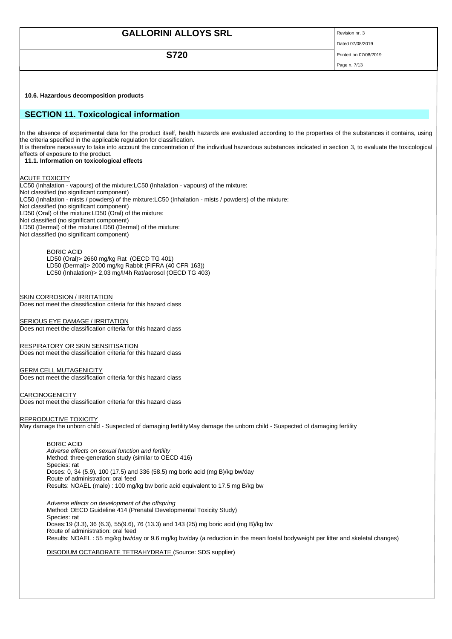| <b>GALLORINI ALLOYS SRL</b>                                                                                                                                                                                                                                                                                                                                                                                                                                                                                                       | Revision nr. 3<br>Dated 07/08/2019 |
|-----------------------------------------------------------------------------------------------------------------------------------------------------------------------------------------------------------------------------------------------------------------------------------------------------------------------------------------------------------------------------------------------------------------------------------------------------------------------------------------------------------------------------------|------------------------------------|
| <b>S720</b>                                                                                                                                                                                                                                                                                                                                                                                                                                                                                                                       | Printed on 07/08/2019              |
|                                                                                                                                                                                                                                                                                                                                                                                                                                                                                                                                   |                                    |
|                                                                                                                                                                                                                                                                                                                                                                                                                                                                                                                                   | Page n. 7/13                       |
|                                                                                                                                                                                                                                                                                                                                                                                                                                                                                                                                   |                                    |
| 10.6. Hazardous decomposition products                                                                                                                                                                                                                                                                                                                                                                                                                                                                                            |                                    |
| <b>SECTION 11. Toxicological information</b>                                                                                                                                                                                                                                                                                                                                                                                                                                                                                      |                                    |
| In the absence of experimental data for the product itself, health hazards are evaluated according to the properties of the substances it contains, using<br>the criteria specified in the applicable regulation for classification.<br>It is therefore necessary to take into account the concentration of the individual hazardous substances indicated in section 3, to evaluate the toxicological<br>effects of exposure to the product.<br>11.1. Information on toxicological effects                                        |                                    |
| ACUTE TOXICITY<br>LC50 (Inhalation - vapours) of the mixture: LC50 (Inhalation - vapours) of the mixture:<br>Not classified (no significant component)<br>LC50 (Inhalation - mists / powders) of the mixture:LC50 (Inhalation - mists / powders) of the mixture:<br>Not classified (no significant component)<br>LD50 (Oral) of the mixture: LD50 (Oral) of the mixture:<br>Not classified (no significant component)<br>LD50 (Dermal) of the mixture: LD50 (Dermal) of the mixture:<br>Not classified (no significant component) |                                    |
| <b>BORIC ACID</b><br>LD50 (Oral) > 2660 mg/kg Rat (OECD TG 401)<br>LD50 (Dermal) > 2000 mg/kg Rabbit (FIFRA (40 CFR 163))<br>LC50 (Inhalation) > 2,03 mg/l/4h Rat/aerosol (OECD TG 403)                                                                                                                                                                                                                                                                                                                                           |                                    |
| <u>SKIN CORROSION / IRRITATION</u><br>Does not meet the classification criteria for this hazard class                                                                                                                                                                                                                                                                                                                                                                                                                             |                                    |
| <u>SERIOUS EYE DAMAGE / IRRITATION</u><br>Does not meet the classification criteria for this hazard class                                                                                                                                                                                                                                                                                                                                                                                                                         |                                    |
| RESPIRATORY OR SKIN SENSITISATION<br>Does not meet the classification criteria for this hazard class                                                                                                                                                                                                                                                                                                                                                                                                                              |                                    |
| <u>GERM CELL MUTAGENICITY</u><br>Does not meet the classification criteria for this hazard class                                                                                                                                                                                                                                                                                                                                                                                                                                  |                                    |
| CARCINOGENICITY<br>Does not meet the classification criteria for this hazard class                                                                                                                                                                                                                                                                                                                                                                                                                                                |                                    |
| <u>REPRODUCTIVE TOXICITY</u><br>May damage the unborn child - Suspected of damaging fertilityMay damage the unborn child - Suspected of damaging fertility                                                                                                                                                                                                                                                                                                                                                                        |                                    |
| <b>BORIC ACID</b><br>Adverse effects on sexual function and fertility<br>Method: three-generation study (similar to OECD 416)                                                                                                                                                                                                                                                                                                                                                                                                     |                                    |

Species: rat Doses: 0, 34 (5.9), 100 (17.5) and 336 (58.5) mg boric acid (mg B)/kg bw/day Route of administration: oral feed Results: NOAEL (male) : 100 mg/kg bw boric acid equivalent to 17.5 mg B/kg bw

*Adverse effects on development of the offspring* Method: OECD Guideline 414 (Prenatal Developmental Toxicity Study) Species: rat Doses:19 (3.3), 36 (6.3), 55(9.6), 76 (13.3) and 143 (25) mg boric acid (mg B)/kg bw Route of administration: oral feed Results: NOAEL : 55 mg/kg bw/day or 9.6 mg/kg bw/day (a reduction in the mean foetal bodyweight per litter and skeletal changes)

DISODIUM OCTABORATE TETRAHYDRATE (Source: SDS supplier)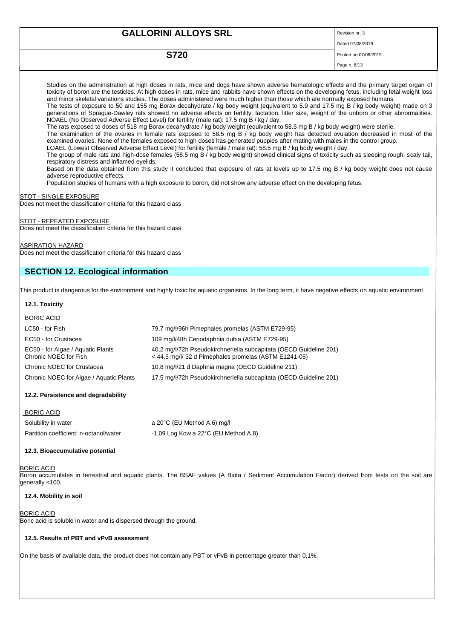| <b>GALLORINI ALLOYS SRL</b><br>Revision nr. 3 |                       |
|-----------------------------------------------|-----------------------|
|                                               | Dated 07/08/2019      |
| <b>S720</b>                                   | Printed on 07/08/2019 |
|                                               | Page n. 8/13          |

Studies on the administration at high doses in rats, mice and dogs have shown adverse hematologic effects and the primary target organ of toxicity of boron are the testicles. At high doses in rats, mice and rabbits have shown effects on the developing fetus, including fetal weight loss and minor skeletal variations studies. The doses administered were much higher than those which are normally exposed humans.

The tests of exposure to 50 and 155 mg Borax decahydrate / kg body weight (equivalent to 5.9 and 17.5 mg B / kg body weight) made on 3 generations of Sprague-Dawley rats showed no adverse effects on fertility, lactation, litter size, weight of the unborn or other abnormalities. NOAEL (No Observed Adverse Effect Level) for fertility (male rat): 17.5 mg B / kg / day.

The rats exposed to doses of 518 mg Borax decahydrate / kg body weight (equivalent to 58.5 mg B / kg body weight) were sterile.

The examination of the ovaries in female rats exposed to 58.5 mg B / kg body weight has detected ovulation decreased in most of the examined ovaries. None of the females exposed to high doses has generated puppies after mating with males in the control group.

LOAEL (Lowest Observed Adverse Effect Level) for fertility (female / male rat): 58.5 mg B / kg body weight / day.

The group of male rats and high-dose females (58.5 mg B / kg body weight) showed clinical signs of toxicity such as sleeping rough, scaly tail, respiratory distress and inflamed eyelids.

Based on the data obtained from this study it concluded that exposure of rats at levels up to 17.5 mg B / kg body weight does not cause adverse reproductive effects.

Population studies of humans with a high exposure to boron, did not show any adverse effect on the developing fetus.

**STOT - SINGLE EXPOSURE** 

Does not meet the classification criteria for this hazard class

## STOT - REPEATED EXPOSURE

Does not meet the classification criteria for this hazard class

#### ASPIRATION HAZARD

Does not meet the classification criteria for this hazard class

# **SECTION 12. Ecological information**

This product is dangerous for the environment and highly toxic for aquatic organisms. In the long term, it have negative effects on aquatic environment.

# **12.1. Toxicity**

| <b>BORIC ACID</b>                                          |                                                                                                                               |
|------------------------------------------------------------|-------------------------------------------------------------------------------------------------------------------------------|
| LC50 - for Fish                                            | 79,7 mg/l/96h Pimephales promelas (ASTM E729-95)                                                                              |
| EC50 - for Crustacea                                       | 109 mg/l/48h Ceriodaphnia dubia (ASTM E729-95)                                                                                |
| EC50 - for Algae / Aguatic Plants<br>Chronic NOEC for Fish | 40.2 mg/l/72h Pseudokirchneriella subcapitata (OECD Guideline 201)<br>$<$ 44.5 mg/l/ 32 d Pimephales promelas (ASTM E1241-05) |
| Chronic NOEC for Crustacea                                 | 10.8 mg/l/21 d Daphnia magna (OECD Guideline 211)                                                                             |
| Chronic NOEC for Algae / Aguatic Plants                    | 17,5 mg/l/72h Pseudokirchneriella subcapitata (OECD Guideline 201)                                                            |

## **12.2. Persistence and degradability**

| <b>BORIC ACID</b>                      |                                                  |
|----------------------------------------|--------------------------------------------------|
| Solubility in water                    | a 20°C (EU Method A.6) mg/l                      |
| Partition coefficient: n-octanol/water | $-1.09$ Log Kow a 22 $\degree$ C (EU Method A.8) |

## **12.3. Bioaccumulative potential**

## **BORIC ACID**

Boron accumulates in terrestrial and aquatic plants. The BSAF values (A Biota / Sediment Accumulation Factor) derived from tests on the soil are generally <100.

# **12.4. Mobility in soil**

## **BORIC ACID**

Boric acid is soluble in water and is dispersed through the ground.

## **12.5. Results of PBT and vPvB assessment**

On the basis of available data, the product does not contain any PBT or vPvB in percentage greater than 0,1%.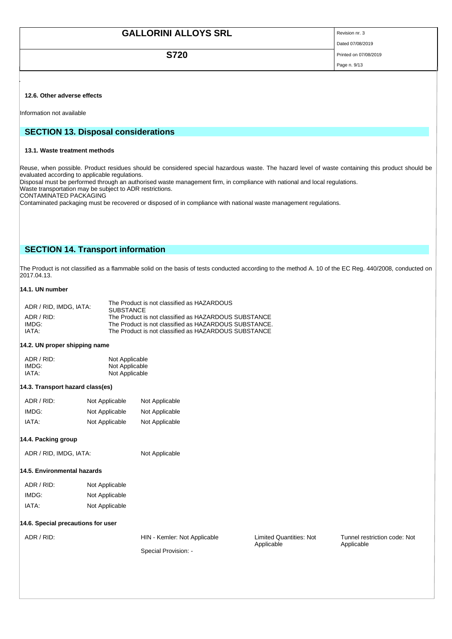| <b>GALLORINI ALLOYS SRL</b> | Revision nr. 3        |
|-----------------------------|-----------------------|
|                             | Dated 07/08/2019      |
| <b>S720</b>                 | Printed on 07/08/2019 |
|                             | Page n. 9/13          |

## **12.6. Other adverse effects**

Information not available

# **SECTION 13. Disposal considerations**

#### **13.1. Waste treatment methods**

Reuse, when possible. Product residues should be considered special hazardous waste. The hazard level of waste containing this product should be evaluated according to applicable regulations.

Disposal must be performed through an authorised waste management firm, in compliance with national and local regulations.

Waste transportation may be subject to ADR restrictions.

CONTAMINATED PACKAGING

Contaminated packaging must be recovered or disposed of in compliance with national waste management regulations.

# **SECTION 14. Transport information**

The Product is not classified as a flammable solid on the basis of tests conducted according to the method A. 10 of the EC Reg. 440/2008, conducted on 2017.04.13.

# **14.1. UN number**

| ADR / RID. IMDG. IATA: | The Product is not classified as HAZARDOUS<br><b>SUBSTANCE</b> |
|------------------------|----------------------------------------------------------------|
| ADR / RID:             | The Product is not classified as HAZARDOUS SUBSTANCE           |
| IMDG:                  | The Product is not classified as HAZARDOUS SUBSTANCE.          |
| IATA·                  | The Product is not classified as HAZARDOUS SUBSTANCE           |

# **14.2. UN proper shipping name**

| ADR / RID: | Not Applicable |
|------------|----------------|
| IMDG:      | Not Applicable |
| IATA:      | Not Applicable |

#### **14.3. Transport hazard class(es)**

| ADR / RID: | Not Applicable | Not Applicable |
|------------|----------------|----------------|
| IMDG:      | Not Applicable | Not Applicable |
| IATA:      | Not Applicable | Not Applicable |

## **14.4. Packing group**

ADR / RID, IMDG, IATA: Not Applicable

# **14.5. Environmental hazards**

| ADR / RID: | Not Applicable |
|------------|----------------|
| IMDG:      | Not Applicable |
| IATA:      | Not Applicable |

#### **14.6. Special precautions for user**

Special Provision: -

ADR / RID: HIN - Kemler: Not Applicable Limited Quantities: Not Applicable

Tunnel restriction code: Not Applicable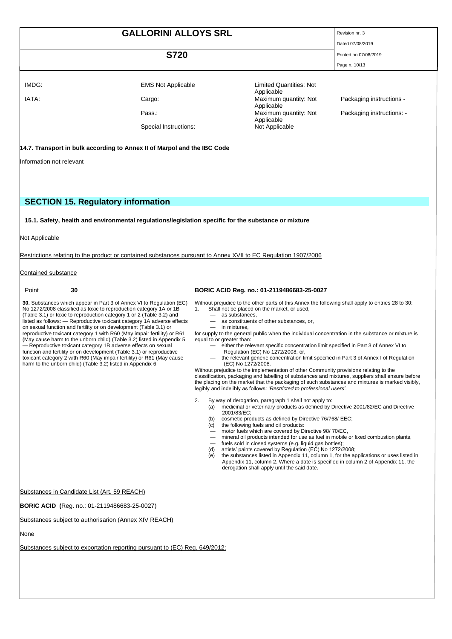|       | <b>GALLORINI ALLOYS SRL</b> |                                       | Revision nr. 3            |
|-------|-----------------------------|---------------------------------------|---------------------------|
|       |                             |                                       | Dated 07/08/2019          |
|       | <b>S720</b>                 |                                       | Printed on 07/08/2019     |
|       |                             |                                       | Page n. 10/13             |
|       |                             |                                       |                           |
| IMDG: | <b>EMS Not Applicable</b>   | Limited Quantities: Not<br>Applicable |                           |
| IATA: | Cargo:                      | Maximum quantity: Not<br>Applicable   | Packaging instructions -  |
|       | Pass.:                      | Maximum quantity: Not                 | Packaging instructions: - |
|       | Special Instructions:       | Applicable<br>Not Applicable          |                           |

# **14.7. Transport in bulk according to Annex II of Marpol and the IBC Code**

Information not relevant

# **SECTION 15. Regulatory information**

**15.1. Safety, health and environmental regulations/legislation specific for the substance or mixture**

Not Applicable

Restrictions relating to the product or contained substances pursuant to Annex XVII to EC Regulation 1907/2006

Contained substance

#### **30.** Substances which appear in Part 3 of Annex VI to Regulation (EC) No 1272/2008 classified as toxic to reproduction category 1A or 1B (Table 3.1) or toxic to reproduction category 1 or 2 (Table 3.2) and listed as follows: — Reproductive toxicant category 1A adverse effects on sexual function and fertility or on development (Table 3.1) or reproductive toxicant category 1 with R60 (May impair fertility) or R61 (May cause harm to the unborn child) (Table 3.2) listed in Appendix 5 — Reproductive toxicant category 1B adverse effects on sexual function and fertility or on development (Table 3.1) or reproductive toxicant category 2 with R60 (May impair fertility) or R61 (May cause harm to the unborn child) (Table 3.2) listed in Appendix 6

# Point **30 BORIC ACID Reg. no.: 01-2119486683-25-0027**

Without prejudice to the other parts of this Annex the following shall apply to entries 28 to 30: 1. Shall not be placed on the market, or used,

- as substances,
	- as constituents of other substances, or,
	- in mixtures,

for supply to the general public when the individual concentration in the substance or mixture is equal to or greater than:

- either the relevant specific concentration limit specified in Part 3 of Annex VI to
- Regulation (EC) No 1272/2008, or,
- the relevant generic concentration limit specified in Part 3 of Annex I of Regulation (EC) No 1272/2008.

Without prejudice to the implementation of other Community provisions relating to the classification, packaging and labelling of substances and mixtures, suppliers shall ensure before the placing on the market that the packaging of such substances and mixtures is marked visibly, legibly and indelibly as follows: '*Restricted to professional users'*.

2. By way of derogation, paragraph 1 shall not apply to:

- (a) medicinal or veterinary products as defined by Directive 2001/82/EC and Directive 2001/83/EC;
- (b) cosmetic products as defined by Directive 76/768/ EEC; (b) cosmetic products as defined by Di<br>(c) the following fuels and oil products:
- 
- motor fuels which are covered by Directive 98/ 70/EC, — mineral oil products intended for use as fuel in mobile or fixed combustion plants,
- fuels sold in closed systems (e.g. liquid gas bottles);
- (d) artists' paints covered by Regulation (EC) No 1272/2008;<br>(e) the substances listed in Appendix 11, column 1, for the article
- the substances listed in Appendix 11, column 1, for the applications or uses listed in Appendix 11, column 2. Where a date is specified in column 2 of Appendix 11, the derogation shall apply until the said date.

Substances in Candidate List (Art. 59 REACH)

**BORIC ACID (**Reg. no.: 01-2119486683-25-0027)

Substances subject to authorisarion (Annex XIV REACH)

None

Substances subject to exportation reporting pursuant to (EC) Reg. 649/2012: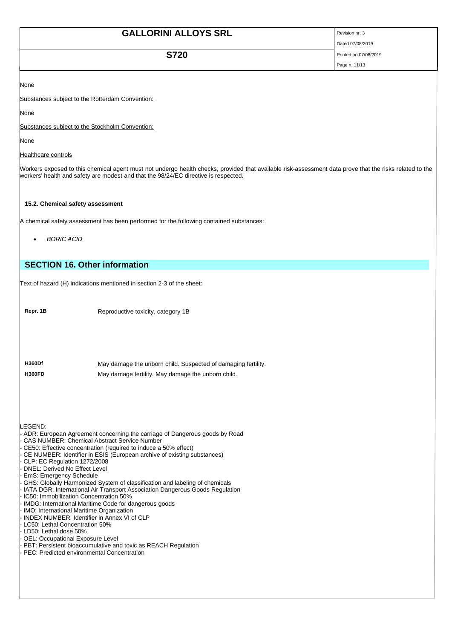| <b>GALLORINI ALLOYS SRL</b> | Revision nr. 3        |
|-----------------------------|-----------------------|
|                             | Dated 07/08/2019      |
| <b>S720</b>                 | Printed on 07/08/2019 |
|                             | Page n. 11/13         |

None

Substances subject to the Rotterdam Convention:

None

Substances subject to the Stockholm Convention:

None

# Healthcare controls

Workers exposed to this chemical agent must not undergo health checks, provided that available risk-assessment data prove that the risks related to the workers' health and safety are modest and that the 98/24/EC directive is respected.

# **15.2. Chemical safety assessment**

A chemical safety assessment has been performed for the following contained substances:

• *BORIC ACID*

# **SECTION 16. Other information**

Text of hazard (H) indications mentioned in section 2-3 of the sheet:

**Repr. 1B** Reproductive toxicity, category 1B

**H360Df** May damage the unborn child. Suspected of damaging fertility. **H360FD** May damage fertility. May damage the unborn child.

LEGEND:

- ADR: European Agreement concerning the carriage of Dangerous goods by Road
- CAS NUMBER: Chemical Abstract Service Number
- CE50: Effective concentration (required to induce a 50% effect)
- CE NUMBER: Identifier in ESIS (European archive of existing substances)
- CLP: EC Regulation 1272/2008
- DNEL: Derived No Effect Level
- EmS: Emergency Schedule
- GHS: Globally Harmonized System of classification and labeling of chemicals
- IATA DGR: International Air Transport Association Dangerous Goods Regulation
- IC50: Immobilization Concentration 50%
- IMDG: International Maritime Code for dangerous goods
- IMO: International Maritime Organization
- INDEX NUMBER: Identifier in Annex VI of CLP LC50: Lethal Concentration 50%
- LD50: Lethal dose 50%
- OEL: Occupational Exposure Level
- PBT: Persistent bioaccumulative and toxic as REACH Regulation
- PEC: Predicted environmental Concentration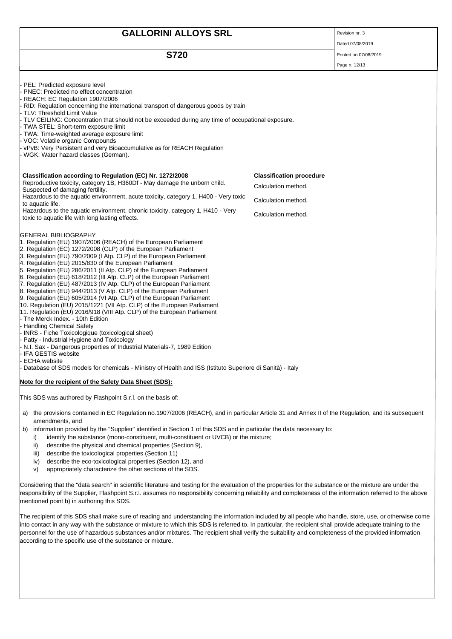| <b>GALLORINI ALLOYS SRL</b>                                                                                                                                                                                                                                                                                                                                                                                                                                                                                                                                                                                                                                                                                                                                                                                                                                                                                                                                                                                                                                                                                                                                                                                                                  |                                 | Revision nr. 3        |
|----------------------------------------------------------------------------------------------------------------------------------------------------------------------------------------------------------------------------------------------------------------------------------------------------------------------------------------------------------------------------------------------------------------------------------------------------------------------------------------------------------------------------------------------------------------------------------------------------------------------------------------------------------------------------------------------------------------------------------------------------------------------------------------------------------------------------------------------------------------------------------------------------------------------------------------------------------------------------------------------------------------------------------------------------------------------------------------------------------------------------------------------------------------------------------------------------------------------------------------------|---------------------------------|-----------------------|
|                                                                                                                                                                                                                                                                                                                                                                                                                                                                                                                                                                                                                                                                                                                                                                                                                                                                                                                                                                                                                                                                                                                                                                                                                                              |                                 | Dated 07/08/2019      |
| <b>S720</b>                                                                                                                                                                                                                                                                                                                                                                                                                                                                                                                                                                                                                                                                                                                                                                                                                                                                                                                                                                                                                                                                                                                                                                                                                                  |                                 | Printed on 07/08/2019 |
|                                                                                                                                                                                                                                                                                                                                                                                                                                                                                                                                                                                                                                                                                                                                                                                                                                                                                                                                                                                                                                                                                                                                                                                                                                              |                                 | Page n. 12/13         |
| PEL: Predicted exposure level<br>PNEC: Predicted no effect concentration<br>REACH: EC Regulation 1907/2006<br>RID: Regulation concerning the international transport of dangerous goods by train<br>TLV: Threshold Limit Value<br>TLV CEILING: Concentration that should not be exceeded during any time of occupational exposure.<br>- TWA STEL: Short-term exposure limit<br>- TWA: Time-weighted average exposure limit<br>- VOC: Volatile organic Compounds<br>- vPvB: Very Persistent and very Bioaccumulative as for REACH Regulation<br>WGK: Water hazard classes (German).                                                                                                                                                                                                                                                                                                                                                                                                                                                                                                                                                                                                                                                           |                                 |                       |
| Classification according to Regulation (EC) Nr. 1272/2008                                                                                                                                                                                                                                                                                                                                                                                                                                                                                                                                                                                                                                                                                                                                                                                                                                                                                                                                                                                                                                                                                                                                                                                    | <b>Classification procedure</b> |                       |
| Reproductive toxicity, category 1B, H360Df - May damage the unborn child.<br>Suspected of damaging fertility.                                                                                                                                                                                                                                                                                                                                                                                                                                                                                                                                                                                                                                                                                                                                                                                                                                                                                                                                                                                                                                                                                                                                | Calculation method.             |                       |
| Hazardous to the aquatic environment, acute toxicity, category 1, H400 - Very toxic<br>to aquatic life.                                                                                                                                                                                                                                                                                                                                                                                                                                                                                                                                                                                                                                                                                                                                                                                                                                                                                                                                                                                                                                                                                                                                      | Calculation method.             |                       |
| Hazardous to the aquatic environment, chronic toxicity, category 1, H410 - Very<br>toxic to aquatic life with long lasting effects.                                                                                                                                                                                                                                                                                                                                                                                                                                                                                                                                                                                                                                                                                                                                                                                                                                                                                                                                                                                                                                                                                                          | Calculation method.             |                       |
| <b>GENERAL BIBLIOGRAPHY</b><br>1. Regulation (EU) 1907/2006 (REACH) of the European Parliament<br>2. Regulation (EC) 1272/2008 (CLP) of the European Parliament<br>3. Regulation (EU) 790/2009 (I Atp. CLP) of the European Parliament<br>4. Regulation (EU) 2015/830 of the European Parliament<br>5. Regulation (EU) 286/2011 (II Atp. CLP) of the European Parliament<br>6. Regulation (EU) 618/2012 (III Atp. CLP) of the European Parliament<br>7. Regulation (EU) 487/2013 (IV Atp. CLP) of the European Parliament<br>8. Regulation (EU) 944/2013 (V Atp. CLP) of the European Parliament<br>9. Regulation (EU) 605/2014 (VI Atp. CLP) of the European Parliament<br>10. Regulation (EU) 2015/1221 (VII Atp. CLP) of the European Parliament<br>11. Regulation (EU) 2016/918 (VIII Atp. CLP) of the European Parliament<br>- The Merck Index. - 10th Edition<br>- Handling Chemical Safety<br>- INRS - Fiche Toxicologique (toxicological sheet)<br>Patty - Industrial Hygiene and Toxicology<br>N.I. Sax - Dangerous properties of Industrial Materials-7, 1989 Edition<br>- IFA GESTIS website<br><b>ECHA</b> website<br>- Database of SDS models for chemicals - Ministry of Health and ISS (Istituto Superiore di Sanità) - Italy |                                 |                       |
| Note for the recipient of the Safety Data Sheet (SDS):                                                                                                                                                                                                                                                                                                                                                                                                                                                                                                                                                                                                                                                                                                                                                                                                                                                                                                                                                                                                                                                                                                                                                                                       |                                 |                       |
| This SDS was authored by Flashpoint S.r.l. on the basis of:                                                                                                                                                                                                                                                                                                                                                                                                                                                                                                                                                                                                                                                                                                                                                                                                                                                                                                                                                                                                                                                                                                                                                                                  |                                 |                       |
| the provisions contained in EC Regulation no.1907/2006 (REACH), and in particular Article 31 and Annex II of the Regulation, and its subsequent<br>a)<br>amendments, and                                                                                                                                                                                                                                                                                                                                                                                                                                                                                                                                                                                                                                                                                                                                                                                                                                                                                                                                                                                                                                                                     |                                 |                       |

- b) information provided by the "Supplier" identified in Section 1 of this SDS and in particular the data necessary to:
	- i) identify the substance (mono-constituent, multi-constituent or UVCB) or the mixture;
	- ii) describe the physical and chemical properties (Section 9),
	- iii) describe the toxicological properties (Section 11)
	- iv) describe the eco-toxicological properties (Section 12), and
	- v) appropriately characterize the other sections of the SDS.

Considering that the "data search" in scientific literature and testing for the evaluation of the properties for the substance or the mixture are under the responsibility of the Supplier, Flashpoint S.r.l. assumes no responsibility concerning reliability and completeness of the information referred to the above mentioned point b) in authoring this SDS.

The recipient of this SDS shall make sure of reading and understanding the information included by all people who handle, store, use, or otherwise come into contact in any way with the substance or mixture to which this SDS is referred to. In particular, the recipient shall provide adequate training to the personnel for the use of hazardous substances and/or mixtures. The recipient shall verify the suitability and completeness of the provided information according to the specific use of the substance or mixture.